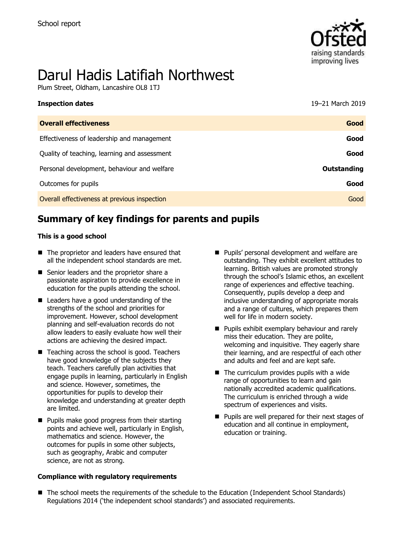

# Darul Hadis Latifiah Northwest

Plum Street, Oldham, Lancashire OL8 1TJ

| <b>Inspection dates</b>                      | 19-21 March 2019   |
|----------------------------------------------|--------------------|
| <b>Overall effectiveness</b>                 | Good               |
| Effectiveness of leadership and management   | Good               |
| Quality of teaching, learning and assessment | Good               |
| Personal development, behaviour and welfare  | <b>Outstanding</b> |
| Outcomes for pupils                          | Good               |
| Overall effectiveness at previous inspection | Good               |

## **Summary of key findings for parents and pupils**

### **This is a good school**

- The proprietor and leaders have ensured that all the independent school standards are met.
- Senior leaders and the proprietor share a passionate aspiration to provide excellence in education for the pupils attending the school.
- Leaders have a good understanding of the strengths of the school and priorities for improvement. However, school development planning and self-evaluation records do not allow leaders to easily evaluate how well their actions are achieving the desired impact.
- $\blacksquare$  Teaching across the school is good. Teachers have good knowledge of the subjects they teach. Teachers carefully plan activities that engage pupils in learning, particularly in English and science. However, sometimes, the opportunities for pupils to develop their knowledge and understanding at greater depth are limited.
- **Pupils make good progress from their starting** points and achieve well, particularly in English, mathematics and science. However, the outcomes for pupils in some other subjects, such as geography, Arabic and computer science, are not as strong.

### **Compliance with regulatory requirements**

- **Pupils' personal development and welfare are** outstanding. They exhibit excellent attitudes to learning. British values are promoted strongly through the school's Islamic ethos, an excellent range of experiences and effective teaching. Consequently, pupils develop a deep and inclusive understanding of appropriate morals and a range of cultures, which prepares them well for life in modern society.
- **Pupils exhibit exemplary behaviour and rarely** miss their education. They are polite, welcoming and inquisitive. They eagerly share their learning, and are respectful of each other and adults and feel and are kept safe.
- $\blacksquare$  The curriculum provides pupils with a wide range of opportunities to learn and gain nationally accredited academic qualifications. The curriculum is enriched through a wide spectrum of experiences and visits.
- **Pupils are well prepared for their next stages of** education and all continue in employment, education or training.
- The school meets the requirements of the schedule to the Education (Independent School Standards) Regulations 2014 ('the independent school standards') and associated requirements.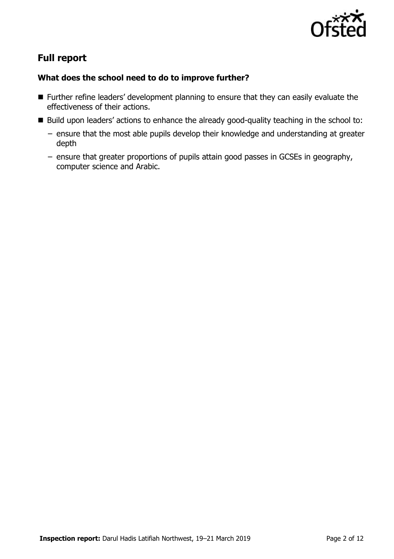

# **Full report**

### **What does the school need to do to improve further?**

- **Further refine leaders' development planning to ensure that they can easily evaluate the** effectiveness of their actions.
- Build upon leaders' actions to enhance the already good-quality teaching in the school to:
	- ensure that the most able pupils develop their knowledge and understanding at greater depth
	- ensure that greater proportions of pupils attain good passes in GCSEs in geography, computer science and Arabic.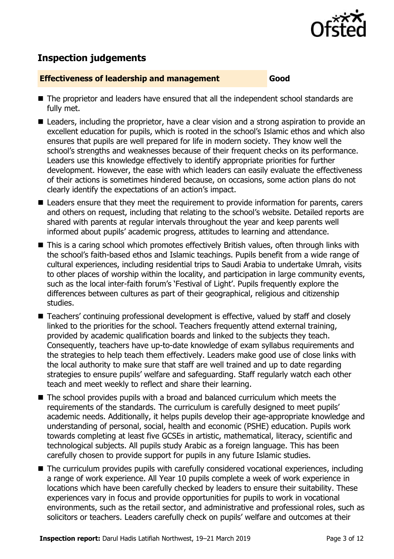

# **Inspection judgements**

### **Effectiveness of leadership and management Good**

- The proprietor and leaders have ensured that all the independent school standards are fully met.
- Leaders, including the proprietor, have a clear vision and a strong aspiration to provide an excellent education for pupils, which is rooted in the school's Islamic ethos and which also ensures that pupils are well prepared for life in modern society. They know well the school's strengths and weaknesses because of their frequent checks on its performance. Leaders use this knowledge effectively to identify appropriate priorities for further development. However, the ease with which leaders can easily evaluate the effectiveness of their actions is sometimes hindered because, on occasions, some action plans do not clearly identify the expectations of an action's impact.
- Leaders ensure that they meet the requirement to provide information for parents, carers and others on request, including that relating to the school's website. Detailed reports are shared with parents at regular intervals throughout the year and keep parents well informed about pupils' academic progress, attitudes to learning and attendance.
- This is a caring school which promotes effectively British values, often through links with the school's faith-based ethos and Islamic teachings. Pupils benefit from a wide range of cultural experiences, including residential trips to Saudi Arabia to undertake Umrah, visits to other places of worship within the locality, and participation in large community events, such as the local inter-faith forum's 'Festival of Light'. Pupils frequently explore the differences between cultures as part of their geographical, religious and citizenship studies.
- Teachers' continuing professional development is effective, valued by staff and closely linked to the priorities for the school. Teachers frequently attend external training, provided by academic qualification boards and linked to the subjects they teach. Consequently, teachers have up-to-date knowledge of exam syllabus requirements and the strategies to help teach them effectively. Leaders make good use of close links with the local authority to make sure that staff are well trained and up to date regarding strategies to ensure pupils' welfare and safeguarding. Staff regularly watch each other teach and meet weekly to reflect and share their learning.
- The school provides pupils with a broad and balanced curriculum which meets the requirements of the standards. The curriculum is carefully designed to meet pupils' academic needs. Additionally, it helps pupils develop their age-appropriate knowledge and understanding of personal, social, health and economic (PSHE) education. Pupils work towards completing at least five GCSEs in artistic, mathematical, literacy, scientific and technological subjects. All pupils study Arabic as a foreign language. This has been carefully chosen to provide support for pupils in any future Islamic studies.
- The curriculum provides pupils with carefully considered vocational experiences, including a range of work experience. All Year 10 pupils complete a week of work experience in locations which have been carefully checked by leaders to ensure their suitability. These experiences vary in focus and provide opportunities for pupils to work in vocational environments, such as the retail sector, and administrative and professional roles, such as solicitors or teachers. Leaders carefully check on pupils' welfare and outcomes at their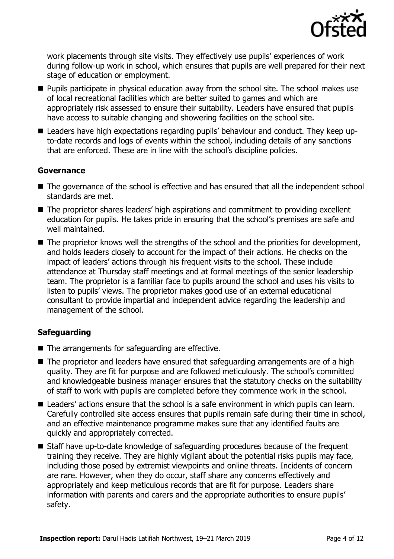

work placements through site visits. They effectively use pupils' experiences of work during follow-up work in school, which ensures that pupils are well prepared for their next stage of education or employment.

- **Pupils participate in physical education away from the school site. The school makes use** of local recreational facilities which are better suited to games and which are appropriately risk assessed to ensure their suitability. Leaders have ensured that pupils have access to suitable changing and showering facilities on the school site.
- Leaders have high expectations regarding pupils' behaviour and conduct. They keep upto-date records and logs of events within the school, including details of any sanctions that are enforced. These are in line with the school's discipline policies.

### **Governance**

- The governance of the school is effective and has ensured that all the independent school standards are met.
- The proprietor shares leaders' high aspirations and commitment to providing excellent education for pupils. He takes pride in ensuring that the school's premises are safe and well maintained.
- The proprietor knows well the strengths of the school and the priorities for development, and holds leaders closely to account for the impact of their actions. He checks on the impact of leaders' actions through his frequent visits to the school. These include attendance at Thursday staff meetings and at formal meetings of the senior leadership team. The proprietor is a familiar face to pupils around the school and uses his visits to listen to pupils' views. The proprietor makes good use of an external educational consultant to provide impartial and independent advice regarding the leadership and management of the school.

### **Safeguarding**

- The arrangements for safeguarding are effective.
- The proprietor and leaders have ensured that safeguarding arrangements are of a high quality. They are fit for purpose and are followed meticulously. The school's committed and knowledgeable business manager ensures that the statutory checks on the suitability of staff to work with pupils are completed before they commence work in the school.
- Leaders' actions ensure that the school is a safe environment in which pupils can learn. Carefully controlled site access ensures that pupils remain safe during their time in school, and an effective maintenance programme makes sure that any identified faults are quickly and appropriately corrected.
- Staff have up-to-date knowledge of safeguarding procedures because of the frequent training they receive. They are highly vigilant about the potential risks pupils may face, including those posed by extremist viewpoints and online threats. Incidents of concern are rare. However, when they do occur, staff share any concerns effectively and appropriately and keep meticulous records that are fit for purpose. Leaders share information with parents and carers and the appropriate authorities to ensure pupils' safety.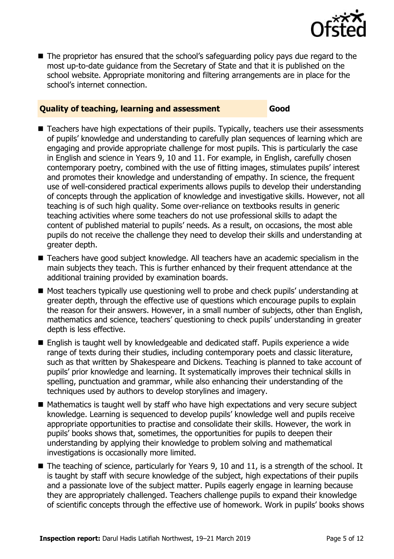

The proprietor has ensured that the school's safeguarding policy pays due regard to the most up-to-date guidance from the Secretary of State and that it is published on the school website. Appropriate monitoring and filtering arrangements are in place for the school's internet connection.

### **Quality of teaching, learning and assessment Good**

- Teachers have high expectations of their pupils. Typically, teachers use their assessments of pupils' knowledge and understanding to carefully plan sequences of learning which are engaging and provide appropriate challenge for most pupils. This is particularly the case in English and science in Years 9, 10 and 11. For example, in English, carefully chosen contemporary poetry, combined with the use of fitting images, stimulates pupils' interest and promotes their knowledge and understanding of empathy. In science, the frequent use of well-considered practical experiments allows pupils to develop their understanding of concepts through the application of knowledge and investigative skills. However, not all teaching is of such high quality. Some over-reliance on textbooks results in generic teaching activities where some teachers do not use professional skills to adapt the content of published material to pupils' needs. As a result, on occasions, the most able pupils do not receive the challenge they need to develop their skills and understanding at greater depth.
- Teachers have good subject knowledge. All teachers have an academic specialism in the main subjects they teach. This is further enhanced by their frequent attendance at the additional training provided by examination boards.
- Most teachers typically use questioning well to probe and check pupils' understanding at greater depth, through the effective use of questions which encourage pupils to explain the reason for their answers. However, in a small number of subjects, other than English, mathematics and science, teachers' questioning to check pupils' understanding in greater depth is less effective.
- English is taught well by knowledgeable and dedicated staff. Pupils experience a wide range of texts during their studies, including contemporary poets and classic literature, such as that written by Shakespeare and Dickens. Teaching is planned to take account of pupils' prior knowledge and learning. It systematically improves their technical skills in spelling, punctuation and grammar, while also enhancing their understanding of the techniques used by authors to develop storylines and imagery.
- Mathematics is taught well by staff who have high expectations and very secure subject knowledge. Learning is sequenced to develop pupils' knowledge well and pupils receive appropriate opportunities to practise and consolidate their skills. However, the work in pupils' books shows that, sometimes, the opportunities for pupils to deepen their understanding by applying their knowledge to problem solving and mathematical investigations is occasionally more limited.
- $\blacksquare$  The teaching of science, particularly for Years 9, 10 and 11, is a strength of the school. It is taught by staff with secure knowledge of the subject, high expectations of their pupils and a passionate love of the subject matter. Pupils eagerly engage in learning because they are appropriately challenged. Teachers challenge pupils to expand their knowledge of scientific concepts through the effective use of homework. Work in pupils' books shows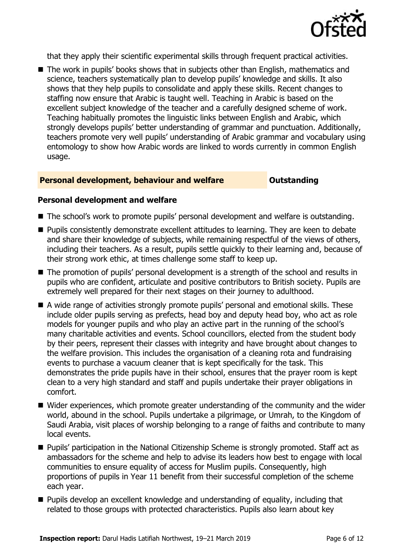

that they apply their scientific experimental skills through frequent practical activities.

■ The work in pupils' books shows that in subjects other than English, mathematics and science, teachers systematically plan to develop pupils' knowledge and skills. It also shows that they help pupils to consolidate and apply these skills. Recent changes to staffing now ensure that Arabic is taught well. Teaching in Arabic is based on the excellent subject knowledge of the teacher and a carefully designed scheme of work. Teaching habitually promotes the linguistic links between English and Arabic, which strongly develops pupils' better understanding of grammar and punctuation. Additionally, teachers promote very well pupils' understanding of Arabic grammar and vocabulary using entomology to show how Arabic words are linked to words currently in common English usage.

### **Personal development, behaviour and welfare <b>COU COULDER** Outstanding

### **Personal development and welfare**

- The school's work to promote pupils' personal development and welfare is outstanding.
- **Pupils consistently demonstrate excellent attitudes to learning. They are keen to debate** and share their knowledge of subjects, while remaining respectful of the views of others, including their teachers. As a result, pupils settle quickly to their learning and, because of their strong work ethic, at times challenge some staff to keep up.
- The promotion of pupils' personal development is a strength of the school and results in pupils who are confident, articulate and positive contributors to British society. Pupils are extremely well prepared for their next stages on their journey to adulthood.
- A wide range of activities strongly promote pupils' personal and emotional skills. These include older pupils serving as prefects, head boy and deputy head boy, who act as role models for younger pupils and who play an active part in the running of the school's many charitable activities and events. School councillors, elected from the student body by their peers, represent their classes with integrity and have brought about changes to the welfare provision. This includes the organisation of a cleaning rota and fundraising events to purchase a vacuum cleaner that is kept specifically for the task. This demonstrates the pride pupils have in their school, ensures that the prayer room is kept clean to a very high standard and staff and pupils undertake their prayer obligations in comfort.
- Wider experiences, which promote greater understanding of the community and the wider world, abound in the school. Pupils undertake a pilgrimage, or Umrah, to the Kingdom of Saudi Arabia, visit places of worship belonging to a range of faiths and contribute to many local events.
- **Pupils' participation in the National Citizenship Scheme is strongly promoted. Staff act as** ambassadors for the scheme and help to advise its leaders how best to engage with local communities to ensure equality of access for Muslim pupils. Consequently, high proportions of pupils in Year 11 benefit from their successful completion of the scheme each year.
- **Pupils develop an excellent knowledge and understanding of equality, including that** related to those groups with protected characteristics. Pupils also learn about key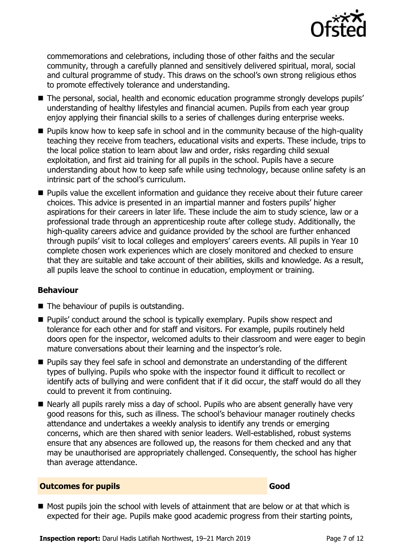

commemorations and celebrations, including those of other faiths and the secular community, through a carefully planned and sensitively delivered spiritual, moral, social and cultural programme of study. This draws on the school's own strong religious ethos to promote effectively tolerance and understanding.

- The personal, social, health and economic education programme strongly develops pupils' understanding of healthy lifestyles and financial acumen. Pupils from each year group enjoy applying their financial skills to a series of challenges during enterprise weeks.
- **Pupils know how to keep safe in school and in the community because of the high-quality** teaching they receive from teachers, educational visits and experts. These include, trips to the local police station to learn about law and order, risks regarding child sexual exploitation, and first aid training for all pupils in the school. Pupils have a secure understanding about how to keep safe while using technology, because online safety is an intrinsic part of the school's curriculum.
- **Pupils value the excellent information and guidance they receive about their future career** choices. This advice is presented in an impartial manner and fosters pupils' higher aspirations for their careers in later life. These include the aim to study science, law or a professional trade through an apprenticeship route after college study. Additionally, the high-quality careers advice and guidance provided by the school are further enhanced through pupils' visit to local colleges and employers' careers events. All pupils in Year 10 complete chosen work experiences which are closely monitored and checked to ensure that they are suitable and take account of their abilities, skills and knowledge. As a result, all pupils leave the school to continue in education, employment or training.

### **Behaviour**

- $\blacksquare$  The behaviour of pupils is outstanding.
- **Pupils'** conduct around the school is typically exemplary. Pupils show respect and tolerance for each other and for staff and visitors. For example, pupils routinely held doors open for the inspector, welcomed adults to their classroom and were eager to begin mature conversations about their learning and the inspector's role.
- **Pupils say they feel safe in school and demonstrate an understanding of the different** types of bullying. Pupils who spoke with the inspector found it difficult to recollect or identify acts of bullying and were confident that if it did occur, the staff would do all they could to prevent it from continuing.
- Nearly all pupils rarely miss a day of school. Pupils who are absent generally have very good reasons for this, such as illness. The school's behaviour manager routinely checks attendance and undertakes a weekly analysis to identify any trends or emerging concerns, which are then shared with senior leaders. Well-established, robust systems ensure that any absences are followed up, the reasons for them checked and any that may be unauthorised are appropriately challenged. Consequently, the school has higher than average attendance.

### **Outcomes for pupils Good**

 $\blacksquare$  Most pupils join the school with levels of attainment that are below or at that which is expected for their age. Pupils make good academic progress from their starting points,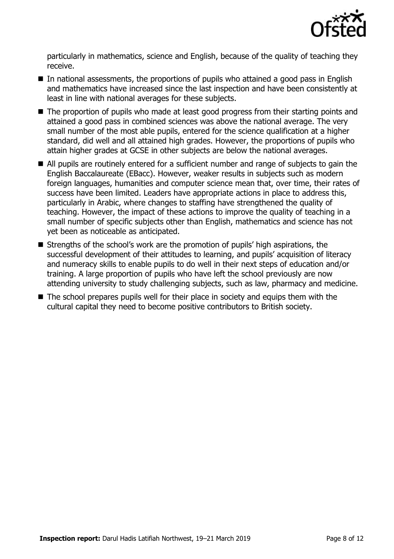

particularly in mathematics, science and English, because of the quality of teaching they receive.

- In national assessments, the proportions of pupils who attained a good pass in English and mathematics have increased since the last inspection and have been consistently at least in line with national averages for these subjects.
- The proportion of pupils who made at least good progress from their starting points and attained a good pass in combined sciences was above the national average. The very small number of the most able pupils, entered for the science qualification at a higher standard, did well and all attained high grades. However, the proportions of pupils who attain higher grades at GCSE in other subjects are below the national averages.
- All pupils are routinely entered for a sufficient number and range of subjects to gain the English Baccalaureate (EBacc). However, weaker results in subjects such as modern foreign languages, humanities and computer science mean that, over time, their rates of success have been limited. Leaders have appropriate actions in place to address this, particularly in Arabic, where changes to staffing have strengthened the quality of teaching. However, the impact of these actions to improve the quality of teaching in a small number of specific subjects other than English, mathematics and science has not yet been as noticeable as anticipated.
- Strengths of the school's work are the promotion of pupils' high aspirations, the successful development of their attitudes to learning, and pupils' acquisition of literacy and numeracy skills to enable pupils to do well in their next steps of education and/or training. A large proportion of pupils who have left the school previously are now attending university to study challenging subjects, such as law, pharmacy and medicine.
- $\blacksquare$  The school prepares pupils well for their place in society and equips them with the cultural capital they need to become positive contributors to British society.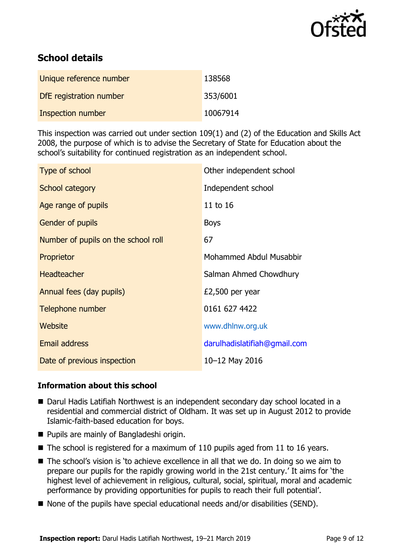

# **School details**

| Unique reference number | 138568   |
|-------------------------|----------|
| DfE registration number | 353/6001 |
| Inspection number       | 10067914 |

This inspection was carried out under section 109(1) and (2) of the Education and Skills Act 2008, the purpose of which is to advise the Secretary of State for Education about the school's suitability for continued registration as an independent school.

| Type of school                      | Other independent school     |
|-------------------------------------|------------------------------|
| School category                     | Independent school           |
| Age range of pupils                 | 11 to 16                     |
| <b>Gender of pupils</b>             | <b>Boys</b>                  |
| Number of pupils on the school roll | 67                           |
| Proprietor                          | Mohammed Abdul Musabbir      |
| <b>Headteacher</b>                  | Salman Ahmed Chowdhury       |
| Annual fees (day pupils)            | $£2,500$ per year            |
| Telephone number                    | 0161 627 4422                |
| Website                             | www.dhlnw.org.uk             |
| <b>Email address</b>                | darulhadislatifiah@gmail.com |
| Date of previous inspection         | 10-12 May 2016               |

### **Information about this school**

- Darul Hadis Latifiah Northwest is an independent secondary day school located in a residential and commercial district of Oldham. It was set up in August 2012 to provide Islamic-faith-based education for boys.
- **Pupils are mainly of Bangladeshi origin.**
- $\blacksquare$  The school is registered for a maximum of 110 pupils aged from 11 to 16 years.
- The school's vision is 'to achieve excellence in all that we do. In doing so we aim to prepare our pupils for the rapidly growing world in the 21st century.' It aims for 'the highest level of achievement in religious, cultural, social, spiritual, moral and academic performance by providing opportunities for pupils to reach their full potential'.
- None of the pupils have special educational needs and/or disabilities (SEND).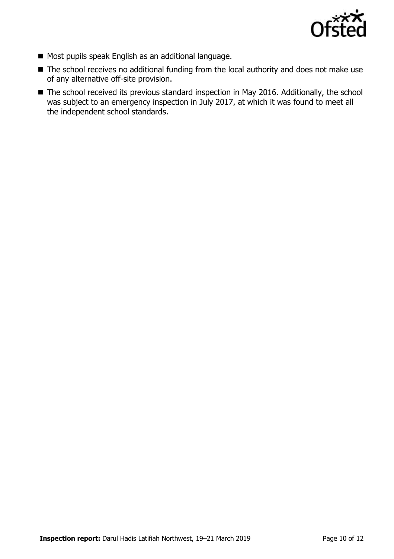

- Most pupils speak English as an additional language.
- The school receives no additional funding from the local authority and does not make use of any alternative off-site provision.
- The school received its previous standard inspection in May 2016. Additionally, the school was subject to an emergency inspection in July 2017, at which it was found to meet all the independent school standards.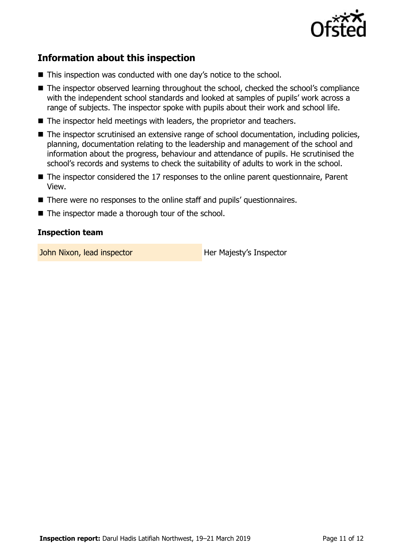

# **Information about this inspection**

- This inspection was conducted with one day's notice to the school.
- The inspector observed learning throughout the school, checked the school's compliance with the independent school standards and looked at samples of pupils' work across a range of subjects. The inspector spoke with pupils about their work and school life.
- The inspector held meetings with leaders, the proprietor and teachers.
- The inspector scrutinised an extensive range of school documentation, including policies, planning, documentation relating to the leadership and management of the school and information about the progress, behaviour and attendance of pupils. He scrutinised the school's records and systems to check the suitability of adults to work in the school.
- The inspector considered the 17 responses to the online parent questionnaire, Parent View.
- There were no responses to the online staff and pupils' questionnaires.
- The inspector made a thorough tour of the school.

### **Inspection team**

John Nixon, lead inspector **Her Majesty's Inspector**